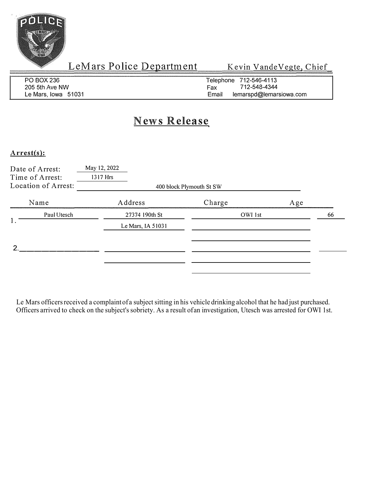

LeMars Police Department Kevin VandeVegte, Chief

| PO BOX 236          | Telephone 712-546-4113           |
|---------------------|----------------------------------|
| 205 5th Ave NW      | 712-548-4344<br>Fax              |
| Le Mars. Iowa 51031 | Email<br>lemarspd@lemarsiowa.com |

# **News Release**

#### Arrest(s):

|    | Date of Arrest:<br>Time of Arrest:<br>Location of Arrest: | May 12, 2022<br>1317 Hrs | 400 block Plymouth St SW |               |
|----|-----------------------------------------------------------|--------------------------|--------------------------|---------------|
|    | Name                                                      | Address                  | Charge                   | Age           |
| 1. | Paul Utesch                                               | 27374 190th St           |                          | OWI 1st<br>66 |
|    |                                                           | Le Mars, IA 51031        |                          |               |
| າ  |                                                           |                          |                          |               |
|    |                                                           |                          |                          |               |
|    |                                                           |                          |                          |               |

Le Mars officers received a complaint of a subject sitting in his vehicle drinking alcohol that he had just purchased. Officers arrived to check on the subject's sobriety. As a result of an investigation, Utesch was arrested for OWI 1st.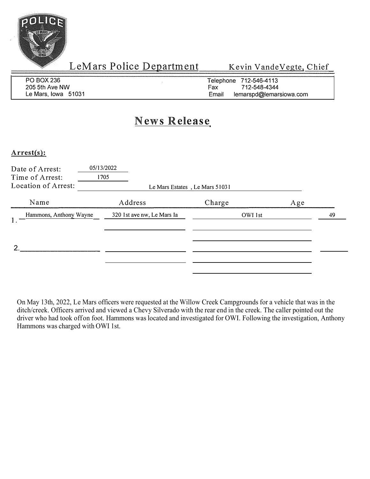

LeMars Police Department Kevin Vande Vegte, Chief

| <b>PO BOX 236</b>   | Telephone 712-546-4113           |
|---------------------|----------------------------------|
| 205 5th Ave NW      | 712-548-4344<br>Fax              |
| Le Mars, Iowa 51031 | Email<br>lemarspd@lemarsiowa.com |

# **News Release**

#### **Arrest(s):**

| Date of Arrest:<br>Time of Arrest:<br>Location of Arrest: | 05/13/2022<br>1705<br>Le Mars Estates, Le Mars 51031 |         |     |    |
|-----------------------------------------------------------|------------------------------------------------------|---------|-----|----|
| Name                                                      | Address                                              | Charge  | Age |    |
| Hammons, Anthony Wayne                                    | 320 1st ave nw, Le Mars Ia                           | OWI 1st |     | 49 |
| հ                                                         |                                                      |         |     |    |

On May 13th, 2022, Le Mars officers were requested at the Willow Creek Campgrounds for a vehicle that was in the ditch/creek. Officers arrived and viewed a Chevy Silverado with the rear end in the creek. The caller pointed out the driver who had took off on foot. Hammons was located and investigated for OWI. Following the investigation, Anthony Hammons was charged with OWI 1st.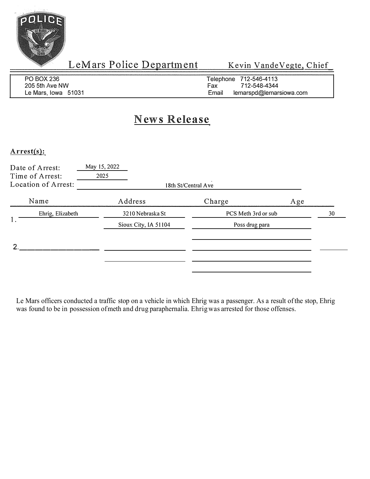

LeMars Police Department Kevin VandeVegte, Chief

| PO BOX 236          | Telephone 712-546-4113           |
|---------------------|----------------------------------|
| 205 5th Ave NW      | Fax<br>712-548-4344              |
| Le Mars, Iowa 51031 | Email<br>lemarspd@lemarsiowa.com |

## **News Release**

#### Arrest{s):

| Date of Arrest:<br>Time of Arrest:<br>Location of Arrest: | May 15, 2022<br>2025 | 18th St/Central Ave |                     |    |
|-----------------------------------------------------------|----------------------|---------------------|---------------------|----|
| Name                                                      | Address              | Charge              | Age                 |    |
| Ehrig, Elizabeth<br>1.                                    | 3210 Nebraska St     |                     | PCS Meth 3rd or sub | 30 |
|                                                           | Sioux City, IA 51104 |                     | Poss drug para      |    |
|                                                           |                      |                     |                     |    |
|                                                           |                      |                     |                     |    |

Le Mars officers conducted a traffic stop on a vehicle in which Ehrig was a passenger. As a result of the stop, Ehrig was found to be in possession of meth and drug paraphernalia. Ehrig was arrested for those offenses.